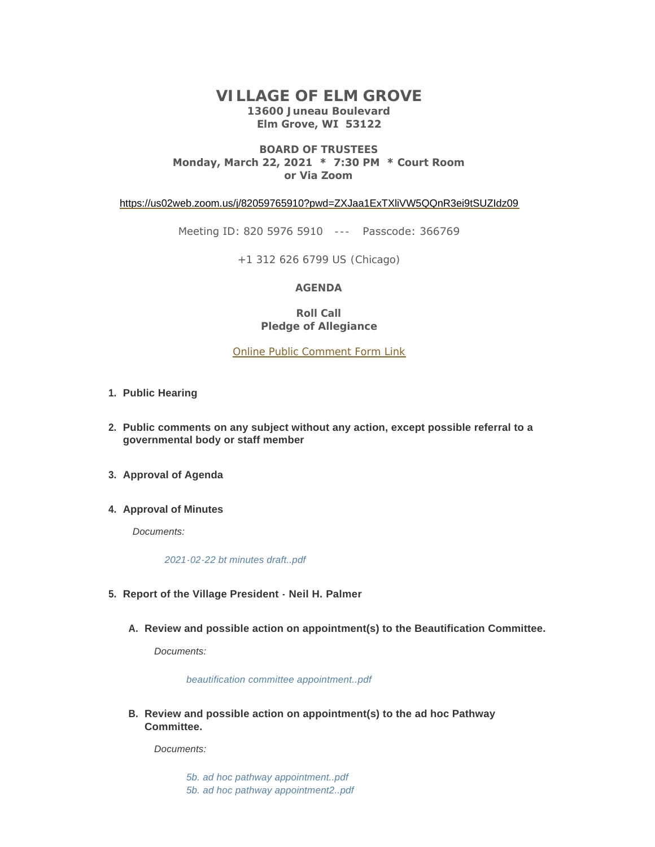# **VILLAGE OF ELM GROVE 13600 Juneau Boulevard Elm Grove, WI 53122**

### **BOARD OF TRUSTEES Monday, March 22, 2021 \* 7:30 PM \* Court Room or Via Zoom**

<https://us02web.zoom.us/j/82059765910?pwd=ZXJaa1ExTXliVW5QQnR3ei9tSUZIdz09>

Meeting ID: 820 5976 5910 --- Passcode: 366769

+1 312 626 6799 US (Chicago)

### **AGENDA**

**Roll Call Pledge of Allegiance**

[Online Public Comment Form Link](https://elmgrovewi.org/FormCenter/PUBLIC-COMMENT-FORMS-8/Public-Comment-Registration-Form-Village-67)

- **Public Hearing 1.**
- **Public comments on any subject without any action, except possible referral to a 2. governmental body or staff member**
- **Approval of Agenda 3.**
- **4. Approval of Minutes**

*Documents:*

*[2021-02-22 bt minutes draft..pdf](https://elmgrovewi.org/AgendaCenter/ViewFile/Item/9936?fileID=14536)*

- **Report of the Village President Neil H. Palmer 5.**
	- **Review and possible action on appointment(s) to the Beautification Committee. A.**

*Documents:*

*[beautification committee appointment..pdf](https://elmgrovewi.org/AgendaCenter/ViewFile/Item/10072?fileID=14537)*

**Review and possible action on appointment(s) to the ad hoc Pathway B. Committee.** 

*Documents:*

*[5b. ad hoc pathway appointment..pdf](https://elmgrovewi.org/AgendaCenter/ViewFile/Item/10071?fileID=14545) [5b. ad hoc pathway appointment2..pdf](https://elmgrovewi.org/AgendaCenter/ViewFile/Item/10071?fileID=14544)*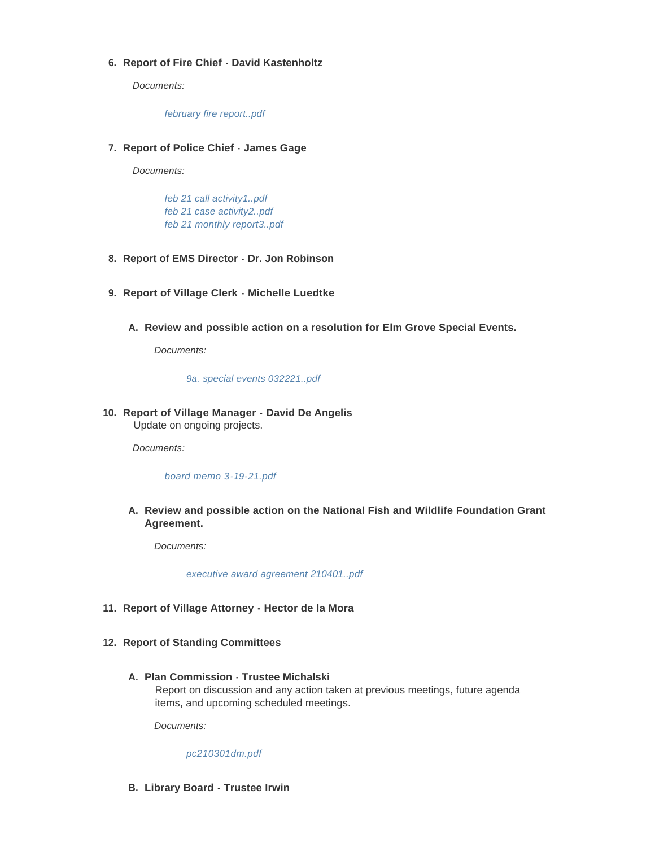## **Report of Fire Chief - David Kastenholtz 6.**

*Documents:*

*[february fire report..pdf](https://elmgrovewi.org/AgendaCenter/ViewFile/Item/9937?fileID=14532)*

**Report of Police Chief - James Gage 7.**

*Documents:*

*[feb 21 call activity1..pdf](https://elmgrovewi.org/AgendaCenter/ViewFile/Item/9938?fileID=14533) [feb 21 case activity2..pdf](https://elmgrovewi.org/AgendaCenter/ViewFile/Item/9938?fileID=14534) [feb 21 monthly report3..pdf](https://elmgrovewi.org/AgendaCenter/ViewFile/Item/9938?fileID=14535)*

- **Report of EMS Director Dr. Jon Robinson 8.**
- **Report of Village Clerk Michelle Luedtke 9.**
	- **Review and possible action on a resolution for Elm Grove Special Events. A.**

*Documents:*

*[9a. special events 032221..pdf](https://elmgrovewi.org/AgendaCenter/ViewFile/Item/10070?fileID=14568)*

### **Report of Village Manager - David De Angelis 10.** Update on ongoing projects.

*Documents:*

### *[board memo 3-19-21.pdf](https://elmgrovewi.org/AgendaCenter/ViewFile/Item/10044?fileID=14565)*

**Review and possible action on the National Fish and Wildlife Foundation Grant A. Agreement.** 

*Documents:*

*[executive award agreement 210401..pdf](https://elmgrovewi.org/AgendaCenter/ViewFile/Item/10073?fileID=14531)*

### **Report of Village Attorney - Hector de la Mora 11.**

- **Report of Standing Committees 12.**
	- **Plan Commission Trustee Michalski A.**

Report on discussion and any action taken at previous meetings, future agenda items, and upcoming scheduled meetings.

*Documents:*

*[pc210301dm.pdf](https://elmgrovewi.org/AgendaCenter/ViewFile/Item/9944?fileID=14566)*

## **Library Board - Trustee Irwin B.**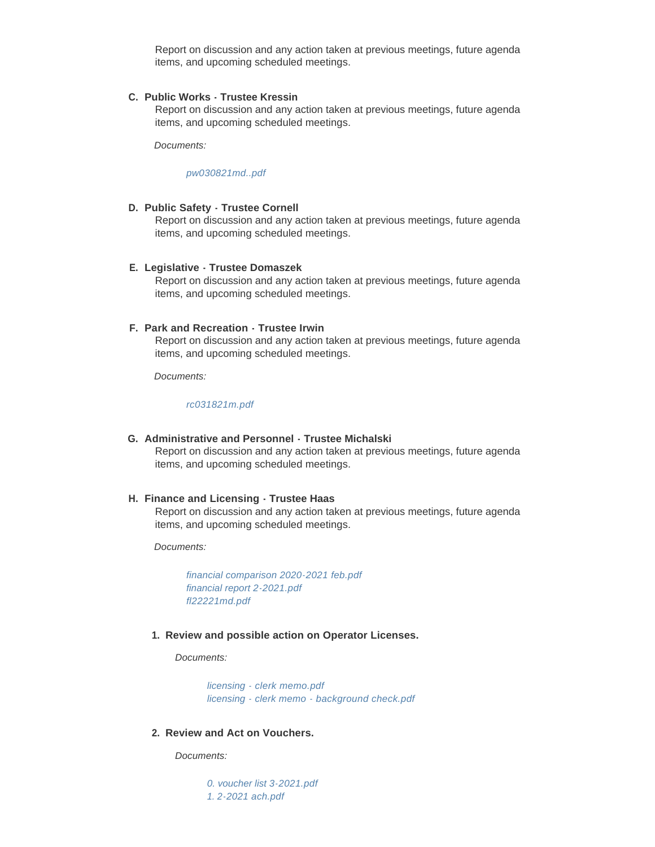Report on discussion and any action taken at previous meetings, future agenda items, and upcoming scheduled meetings.

### **Public Works - Trustee Kressin C.**

Report on discussion and any action taken at previous meetings, future agenda items, and upcoming scheduled meetings.

*Documents:*

*[pw030821md..pdf](https://elmgrovewi.org/AgendaCenter/ViewFile/Item/9845?fileID=14530)*

#### **Public Safety - Trustee Cornell D.**

Report on discussion and any action taken at previous meetings, future agenda items, and upcoming scheduled meetings.

#### **Legislative - Trustee Domaszek E.**

Report on discussion and any action taken at previous meetings, future agenda items, and upcoming scheduled meetings.

### **Park and Recreation - Trustee Irwin F.**

Report on discussion and any action taken at previous meetings, future agenda items, and upcoming scheduled meetings.

*Documents:*

*[rc031821m.pdf](https://elmgrovewi.org/AgendaCenter/ViewFile/Item/9948?fileID=14567)*

**Administrative and Personnel - Trustee Michalski G.** Report on discussion and any action taken at previous meetings, future agenda items, and upcoming scheduled meetings.

#### **Finance and Licensing - Trustee Haas H.**

Report on discussion and any action taken at previous meetings, future agenda items, and upcoming scheduled meetings.

*Documents:*

*[financial comparison 2020-2021 feb.pdf](https://elmgrovewi.org/AgendaCenter/ViewFile/Item/9952?fileID=14562) [financial report 2-2021.pdf](https://elmgrovewi.org/AgendaCenter/ViewFile/Item/9952?fileID=14563) [fl22221md.pdf](https://elmgrovewi.org/AgendaCenter/ViewFile/Item/9952?fileID=14564)*

#### **Review and possible action on Operator Licenses. 1.**

*Documents:*

*[licensing - clerk memo.pdf](https://elmgrovewi.org/AgendaCenter/ViewFile/Item/10059?fileID=14528) [licensing - clerk memo - background check.pdf](https://elmgrovewi.org/AgendaCenter/ViewFile/Item/10059?fileID=14529)*

**Review and Act on Vouchers. 2.**

*Documents:*

*[0. voucher list 3-2021.pdf](https://elmgrovewi.org/AgendaCenter/ViewFile/Item/10061?fileID=14550) [1. 2-2021 ach.pdf](https://elmgrovewi.org/AgendaCenter/ViewFile/Item/10061?fileID=14551)*